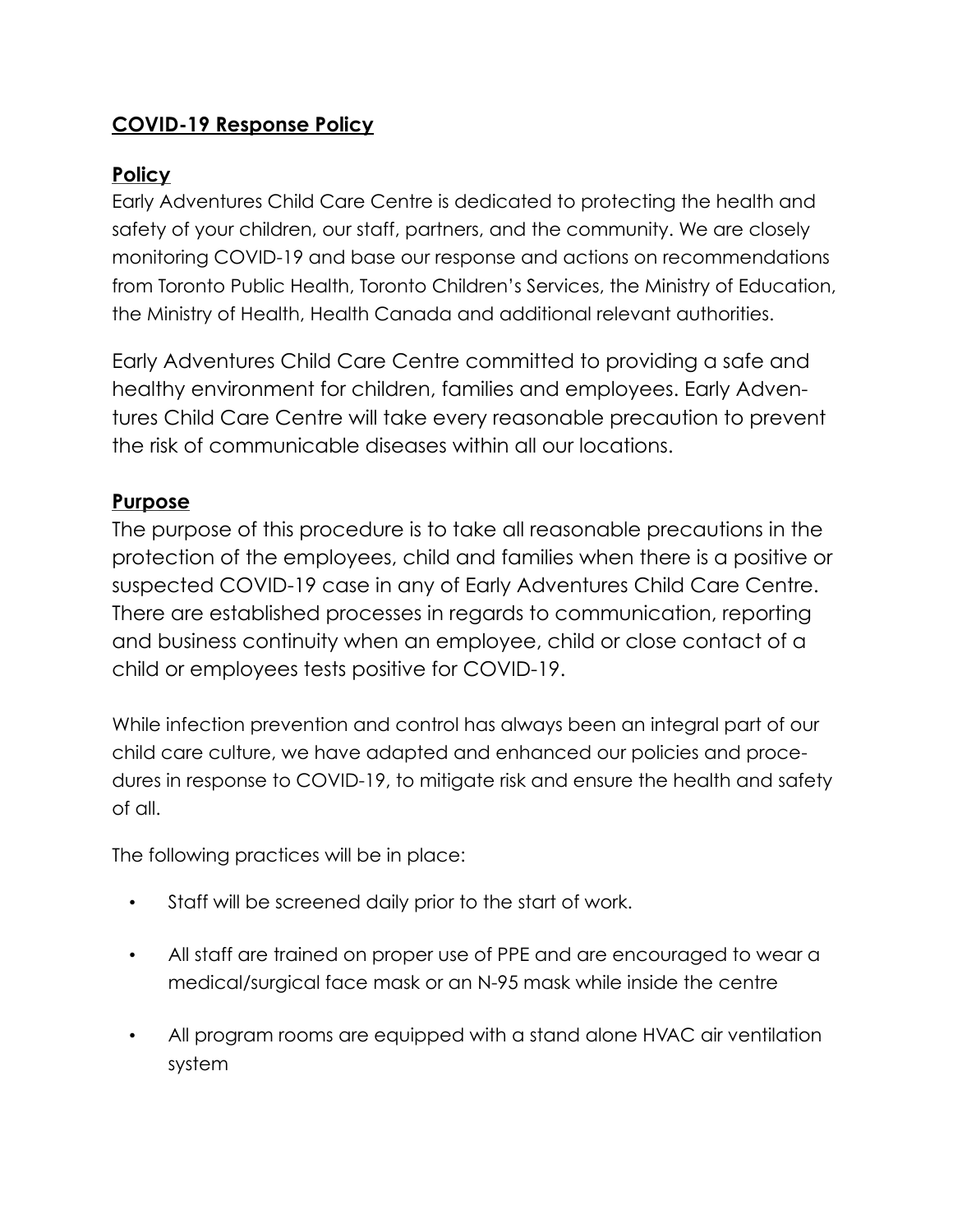## **COVID-19 Response Policy**

#### **Policy**

Early Adventures Child Care Centre is dedicated to protecting the health and safety of your children, our staff, partners, and the community. We are closely monitoring COVID-19 and base our response and actions on recommendations from Toronto Public Health, Toronto Children's Services, the Ministry of Education, the Ministry of Health, Health Canada and additional relevant authorities.

Early Adventures Child Care Centre committed to providing a safe and healthy environment for children, families and employees. Early Adventures Child Care Centre will take every reasonable precaution to prevent the risk of communicable diseases within all our locations.

#### **Purpose**

The purpose of this procedure is to take all reasonable precautions in the protection of the employees, child and families when there is a positive or suspected COVID-19 case in any of Early Adventures Child Care Centre. There are established processes in regards to communication, reporting and business continuity when an employee, child or close contact of a child or employees tests positive for COVID-19.

While infection prevention and control has always been an integral part of our child care culture, we have adapted and enhanced our policies and procedures in response to COVID-19, to mitigate risk and ensure the health and safety of all.

The following practices will be in place:

- Staff will be screened daily prior to the start of work.
- All staff are trained on proper use of PPE and are encouraged to wear a medical/surgical face mask or an N-95 mask while inside the centre
- All program rooms are equipped with a stand alone HVAC air ventilation system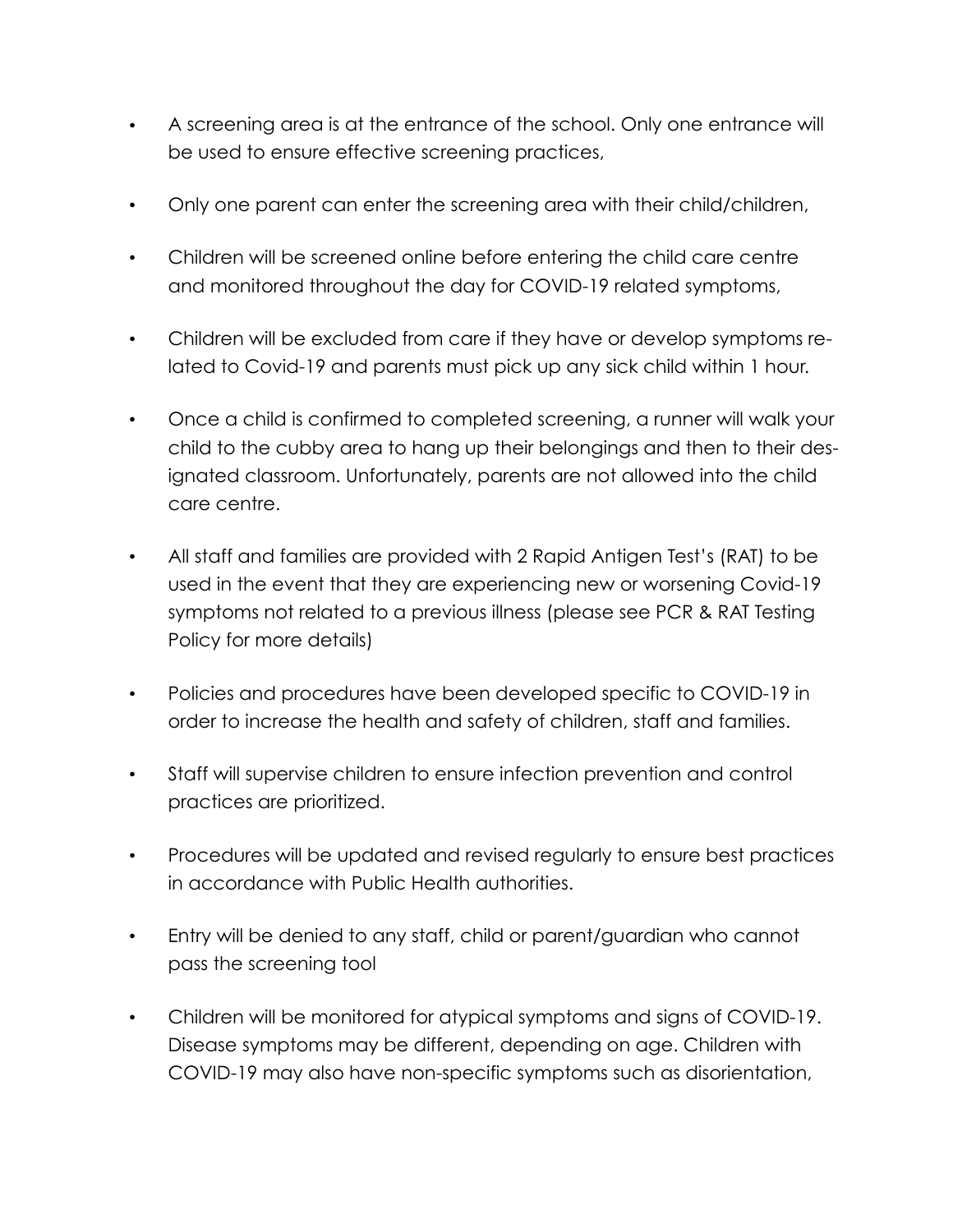- A screening area is at the entrance of the school. Only one entrance will be used to ensure effective screening practices,
- Only one parent can enter the screening area with their child/children,
- Children will be screened online before entering the child care centre and monitored throughout the day for COVID-19 related symptoms,
- Children will be excluded from care if they have or develop symptoms related to Covid-19 and parents must pick up any sick child within 1 hour.
- Once a child is confirmed to completed screening, a runner will walk your child to the cubby area to hang up their belongings and then to their designated classroom. Unfortunately, parents are not allowed into the child care centre.
- All staff and families are provided with 2 Rapid Antigen Test's (RAT) to be used in the event that they are experiencing new or worsening Covid-19 symptoms not related to a previous illness (please see PCR & RAT Testing Policy for more details)
- Policies and procedures have been developed specific to COVID-19 in order to increase the health and safety of children, staff and families.
- Staff will supervise children to ensure infection prevention and control practices are prioritized.
- Procedures will be updated and revised regularly to ensure best practices in accordance with Public Health authorities.
- Entry will be denied to any staff, child or parent/guardian who cannot pass the screening tool
- Children will be monitored for atypical symptoms and signs of COVID-19. Disease symptoms may be different, depending on age. Children with COVID-19 may also have non-specific symptoms such as disorientation,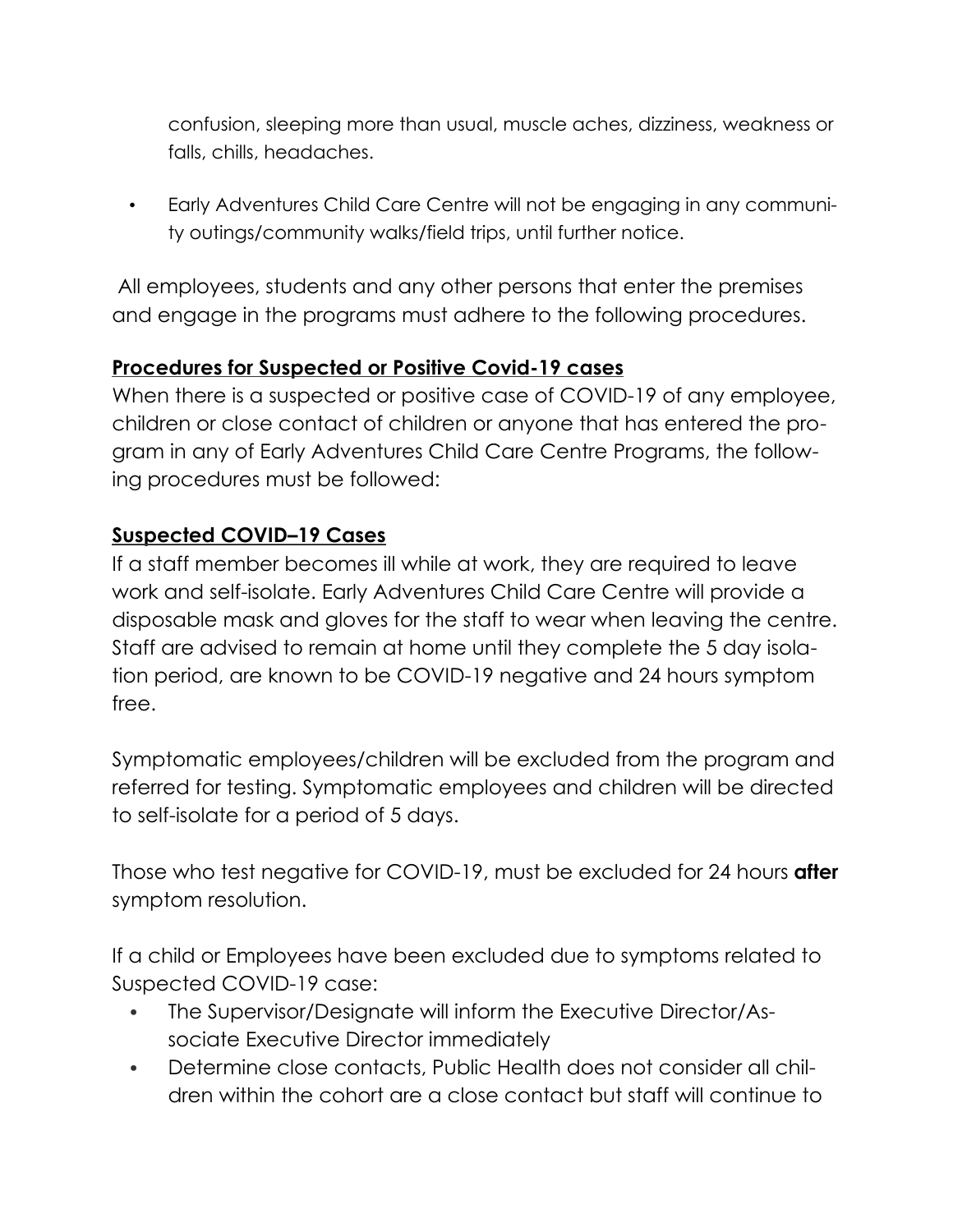confusion, sleeping more than usual, muscle aches, dizziness, weakness or falls, chills, headaches.

• Early Adventures Child Care Centre will not be engaging in any community outings/community walks/field trips, until further notice.

All employees, students and any other persons that enter the premises and engage in the programs must adhere to the following procedures.

### **Procedures for Suspected or Positive Covid-19 cases**

When there is a suspected or positive case of COVID-19 of any employee, children or close contact of children or anyone that has entered the program in any of Early Adventures Child Care Centre Programs, the following procedures must be followed:

#### **Suspected COVID–19 Cases**

If a staff member becomes ill while at work, they are required to leave work and self-isolate. Early Adventures Child Care Centre will provide a disposable mask and gloves for the staff to wear when leaving the centre. Staff are advised to remain at home until they complete the 5 day isolation period, are known to be COVID-19 negative and 24 hours symptom free.

Symptomatic employees/children will be excluded from the program and referred for testing. Symptomatic employees and children will be directed to self-isolate for a period of 5 days.

Those who test negative for COVID-19, must be excluded for 24 hours **after** symptom resolution.

If a child or Employees have been excluded due to symptoms related to Suspected COVID-19 case:

- The Supervisor/Designate will inform the Executive Director/Associate Executive Director immediately
- Determine close contacts, Public Health does not consider all children within the cohort are a close contact but staff will continue to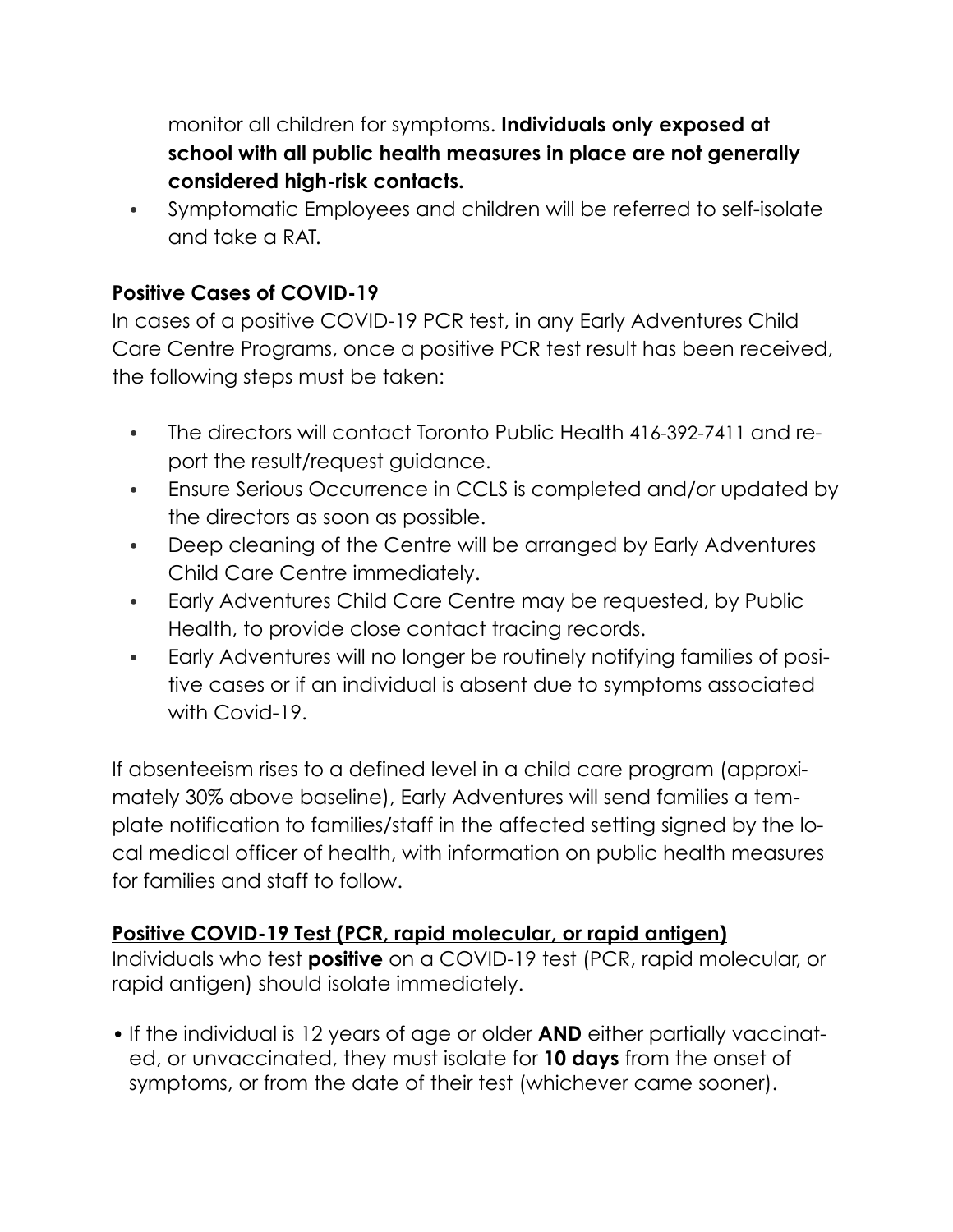monitor all children for symptoms. **Individuals only exposed at school with all public health measures in place are not generally considered high-risk contacts.**

• Symptomatic Employees and children will be referred to self-isolate and take a RAT.

### **Positive Cases of COVID-19**

In cases of a positive COVID-19 PCR test, in any Early Adventures Child Care Centre Programs, once a positive PCR test result has been received, the following steps must be taken:

- The directors will contact Toronto Public Health 416-392-7411 and report the result/request guidance.
- Ensure Serious Occurrence in CCLS is completed and/or updated by the directors as soon as possible.
- Deep cleaning of the Centre will be arranged by Early Adventures Child Care Centre immediately.
- Early Adventures Child Care Centre may be requested, by Public Health, to provide close contact tracing records.
- Early Adventures will no longer be routinely notifying families of positive cases or if an individual is absent due to symptoms associated with Covid-19.

If absenteeism rises to a defined level in a child care program (approximately 30% above baseline), Early Adventures will send families a template notification to families/staff in the affected setting signed by the local medical officer of health, with information on public health measures for families and staff to follow.

#### **Positive COVID-19 Test (PCR, rapid molecular, or rapid antigen)**

Individuals who test **positive** on a COVID-19 test (PCR, rapid molecular, or rapid antigen) should isolate immediately.

• If the individual is 12 years of age or older **AND** either partially vaccinated, or unvaccinated, they must isolate for **10 days** from the onset of symptoms, or from the date of their test (whichever came sooner).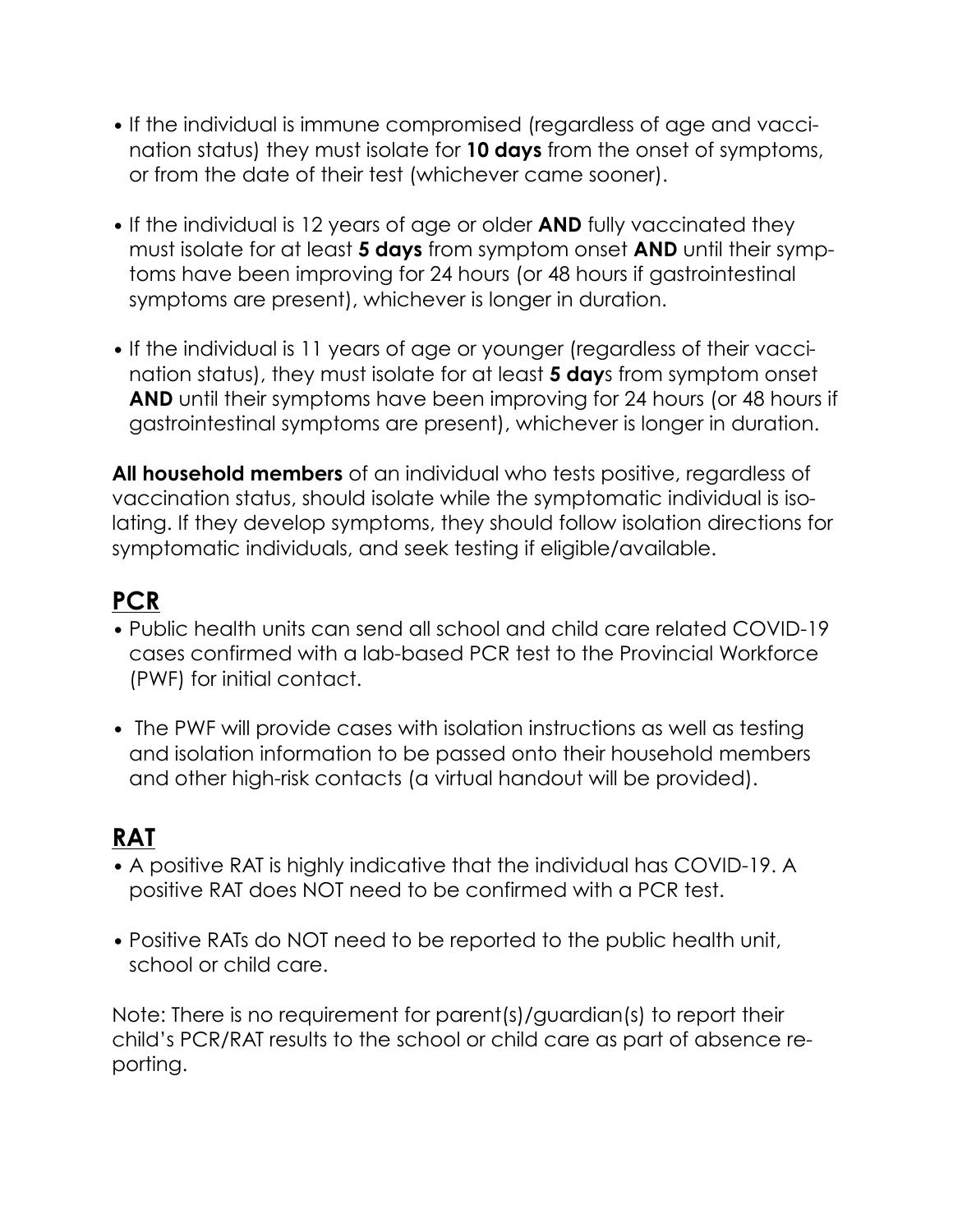- If the individual is immune compromised (regardless of age and vaccination status) they must isolate for **10 days** from the onset of symptoms, or from the date of their test (whichever came sooner).
- If the individual is 12 years of age or older **AND** fully vaccinated they must isolate for at least **5 days** from symptom onset **AND** until their symptoms have been improving for 24 hours (or 48 hours if gastrointestinal symptoms are present), whichever is longer in duration.
- If the individual is 11 years of age or younger (regardless of their vaccination status), they must isolate for at least **5 day**s from symptom onset **AND** until their symptoms have been improving for 24 hours (or 48 hours if gastrointestinal symptoms are present), whichever is longer in duration.

**All household members** of an individual who tests positive, regardless of vaccination status, should isolate while the symptomatic individual is isolating. If they develop symptoms, they should follow isolation directions for symptomatic individuals, and seek testing if eligible/available.

# **PCR**

- Public health units can send all school and child care related COVID-19 cases confirmed with a lab-based PCR test to the Provincial Workforce (PWF) for initial contact.
- The PWF will provide cases with isolation instructions as well as testing and isolation information to be passed onto their household members and other high-risk contacts (a virtual handout will be provided).

# **RAT**

- A positive RAT is highly indicative that the individual has COVID-19. A positive RAT does NOT need to be confirmed with a PCR test.
- Positive RATs do NOT need to be reported to the public health unit, school or child care.

Note: There is no requirement for parent(s)/guardian(s) to report their child's PCR/RAT results to the school or child care as part of absence reporting.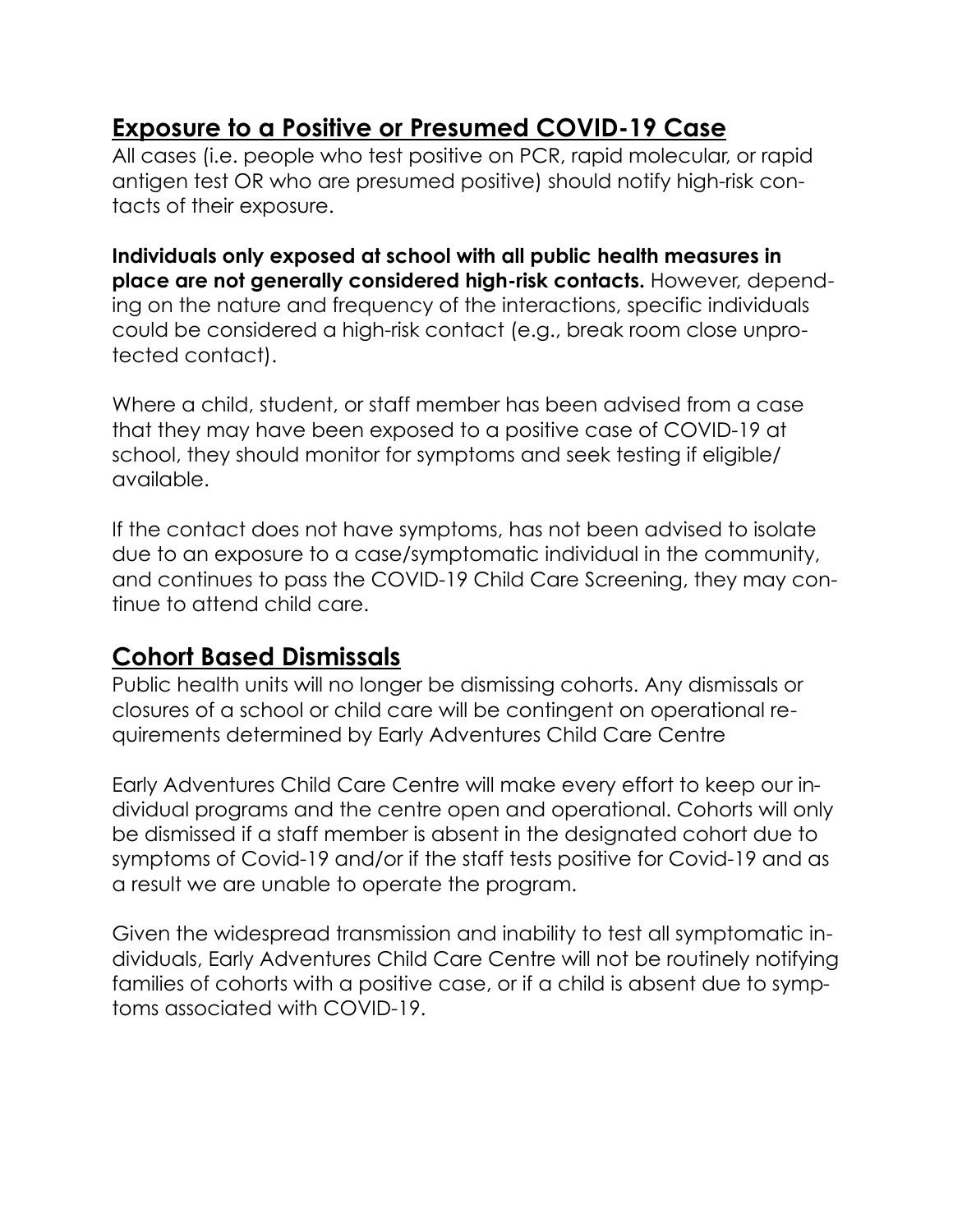## **Exposure to a Positive or Presumed COVID-19 Case**

All cases (i.e. people who test positive on PCR, rapid molecular, or rapid antigen test OR who are presumed positive) should notify high-risk contacts of their exposure.

**Individuals only exposed at school with all public health measures in place are not generally considered high-risk contacts.** However, depending on the nature and frequency of the interactions, specific individuals could be considered a high-risk contact (e.g., break room close unprotected contact).

Where a child, student, or staff member has been advised from a case that they may have been exposed to a positive case of COVID-19 at school, they should monitor for symptoms and seek testing if eligible/ available.

If the contact does not have symptoms, has not been advised to isolate due to an exposure to a case/symptomatic individual in the community, and continues to pass the COVID-19 Child Care Screening, they may continue to attend child care.

## **Cohort Based Dismissals**

Public health units will no longer be dismissing cohorts. Any dismissals or closures of a school or child care will be contingent on operational requirements determined by Early Adventures Child Care Centre

Early Adventures Child Care Centre will make every effort to keep our individual programs and the centre open and operational. Cohorts will only be dismissed if a staff member is absent in the designated cohort due to symptoms of Covid-19 and/or if the staff tests positive for Covid-19 and as a result we are unable to operate the program.

Given the widespread transmission and inability to test all symptomatic individuals, Early Adventures Child Care Centre will not be routinely notifying families of cohorts with a positive case, or if a child is absent due to symptoms associated with COVID-19.